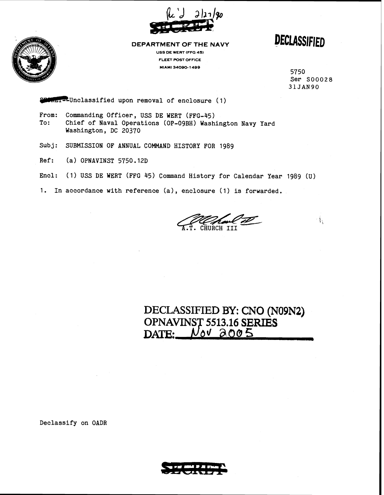

**DEPARTMENT OF THE NAVY USS DE WERT (FFG 4s)** 

**FLEET POST OFFICE MIAMI 34090- 1499** 

**DECLASSIFIED** 

5750 Ser So0028 **31JAN90** 

 $\frac{1}{2}$  .

 $m=$ -Unclassified upon removal of enclosure (1)

- From: Commanding Officer, USS DE WERT (FFG-45)<br>To: Chief of Naval Operations (OP-09BH) Wash Chief of Naval Operations (OP-09BH) Washington Navy Yard Washington, DC 20370
- Subj: SUBMISSION OF ANNUAL COMMAND HISTORY FOR 1989
- Ref: (a) OPNAVINST 5750.12D
- Encl: (1) USS DE WERT (FFG 45) Command History for Calendar Year 1989 **(U)**
- 1. In accordance with reference (a), enclosure (1) is forwarded.

CHURCH III

## **DECLASSIFIED BY: CNO (N09N2) OPNAV 5513.16 SERIES**  DATE: **J as05** <sup>A</sup>

Declassify on OADR

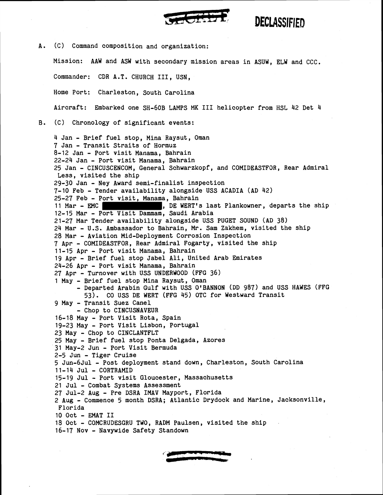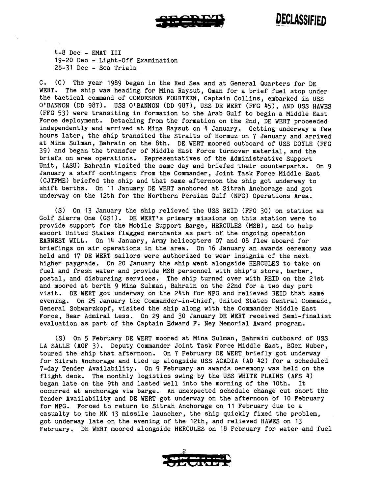

Declassified

4-8 Dec - EMAT I11 19-20 Dec - Light-Off Examination 28-31 Dec - Sea Trials

C. (C) The year 1989 began in the Red Sea and at General Quarters for DE WERT. The ship was heading for Mina Raysut, Oman for a brief fuel stop under the tactical command of COMDESRON FOURTEEN, Captain Collins, embarked in USS O'BANNON (DD 987). USS O'BANNON (DD 987), USS DE WERT (FFG 45), AND USS HAWES (FFG 53) were transiting in formation to the Arab Gulf to begin a Middle East Force deployment. Detaching from the formation on the 2nd, DE WERT proceeded independently and arrived at Mina Raysut on 4 January. Getting underway a few hours later, the ship transited the Straits of Hormuz on 7 January and arrived at Mina Sulman, Bahrain on the 8th. DE WERT moored outboard of USS DOYLE (FFG 39) and began the transfer of Middle East Force turnover material, and the briefs on area operations. Representatives of the Administrative Support Unit, (ASU) Bahrain visited the same day and briefed their counterparts. On 9 January a staff contingent from the Commander, Joint Task Force Middle East (CJTFME) briefed the ship and that same afternoon the ship got underway to shift berths. On 11 January DE WERT anchored at Sitrah Anchorage and got underway on the 12th for the Northern Persian Gulf (NPG) Operations Area.

(S) On 13 January the ship relieved the USS REID (FFG 30) on station as Golf Sierra One (GS1). DE WERT's primary missions on this station were to provide support for the Mobile Support Barge, HERCULES (MSB), and to help escort United States flagged merchants as part of the ongoing operation EARNEST WILL. On 14 January, Army helicopters 07 and 08 flew aboard for briefings on air operations in the area. On 16 January an awards ceremony was held and 17 DE WERT sailors were authorized to wear insignia of the next higher paygrade. On 20 January the ship went alongside HERCULES to take on fuel and fresh water and provide MSB personnel with ship's store, barber, postal, and disbursing services. The ship turned over with REID on the 21st and moored at berth 9 Mina Sulman, Bahrain on the 22nd for a two day port visit. DE WERT got underway on the 24th for NPG and relieved REID that same evening. On 25 January the Commander-in-Chief, United States Central Command, General Schwarzkopf, visited the ship along with the Commander Middle East Force, Rear Admiral Less. On 29 and 30 January DE WERT received Semi-finalist evaluation as part of the Captain Edward F. Ney Memorial Award program.

(S) On 5 February DE WERT moored at Mina Sulman, Bahrain outboard of USS LA SALLE (AGF 3). Deputy Commander Joint Task Force Middle East, BGen Nuber, toured the ship that afternoon. On 7 February DE WERT briefly got underway for Sitrah Anchorage and tied up alongside USS ACADIA (AD 42) for a scheduled 7-day Tender Availability. On 9 February an awards ceremony was held on the flight deck. The monthly logistics swing by the USS WHITE PLAINS (AFS 4) began late on the 9th and lasted well into the morning of the 10th. It occurred at anchorage via barge. An unexpected schedule change cut short the Tender Availability and DE WERT got underway on the afternoon of 10 February for NPG. Forced to return to Sitrah Anchorage on 11 February due to a casualty to the MK 13 missile launcher, the ship quickly fixed the problem, got underway late on the evening of the 12th, and relieved HAWES on 13 February. DE WERT moored alongside HERCULES on 18 February for water and fuel

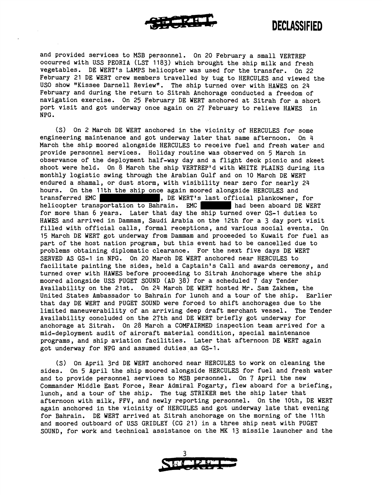

and provided services to MSB personnel. On 20 February a small VERTREP occurred with USS PEORIA (LST 1183) which brought the ship milk and fresh vegetables. DE WERT's LAMPS helicopter was used for the transfer. On 22 February 21 DE WERT crew members travelled by tug to HERCULES and viewed the US0 show "Kissee Darnel1 Reviewm. The ship turned over with HAWES on 24 February and during the return to Sitrah Anchorage conducted a freedom of navigation exercise. On 25 February DE WERT anchored at Sitrah for a short port visit and got underway once again on 27 February to relieve HAWES in NPG .

(S) On 2 March DE WERT anchored in the vicinity of HERCULES for some engineering maintenance and got underway later that same afternoon. On 4 March the ship moored alongside HERCULES to receive fuel and fresh water and provide personnel services. Holiday routine was observed on 5 March in observance of the deployment half-way day and a flight deck picnic and skeet shoot were held. On 8 March the ship VERTREP'd with WHITE PLAINS during its monthly logistic swing through the Arabian Gulf and on 10 March DE WERT endured a shamal, or dust storm, with visibility near zero for nearly 24 hours. On the 11th the ship once again moored alongside HERCULES and transferred EMC , DE WERT's last official plankowner, for helicopter transportation to Bahrain. EMC had been aboard DE WERT for more than 6 years. Later that day the ship turned over GS-1 duties to HAWES and arrived in Dammam, Saudi Arabia on the 12th for a **3** day port visit filled with official calls, formal receptions, and various social events. On 15 March DE WERT got underway from Dammam and proceeded to Kuwait for fuel as part of the host nation program, but this event had to be cancelled due to problems obtaining diplomatic clearance. For the next five days DE WERT SERVED AS GS-1 in NPG. On 20 March DE WERT anchored near HERCULES to facilitate painting the sides, held a Captain's Call and awards ceremony, and turned over with HAWES before proceeding to Sitrah Anchorage where the ship moored alongside USS PUGET SOUND (AD 38) for a scheduled 7 day Tender Availability on the 21st. On 24 March DE WERT hosted Mr. Sam Zakhem, the United States Ambassador to Bahrain for lunch and a tour of the ship. Earlier that day DE WERT and PUGET SOUND were forced to shift anchorages due to the limited maneuverability of an arriving deep draft merchant vessel. The Tender Availability concluded on the 27th and DE WERT briefly got underway for anchorage at Sitrah. On 28 March a COMFAIRMED inspection team arrived for a mid-deployment audit of aircraft material condition, special maintenance programs, and ship aviation facilities. Later that afternoon DE WERT again got underway for NPG and assumed duties as GS-1.

(S) On April 3rd DE WERT anchored near HERCULES to work on cleaning the sides. On 5 April the ship moored alongside HERCULES for fuel and fresh water and to provide personnel services to MSB personnel. On 7 April the new Commander Middle East Force, Rear Admiral Fogarty, flew aboard for a briefing, lunch, and a tour of the ship. The tug STRIKER met the ship later that afternoon with milk, FFV, and newly reporting personnel. On the loth, DE WERT again anchored in the vicinity of HERCULES and got underway late that evening for Bahrain. DE WERT arrived at Sitrah anchorage on the morning of the 11th and moored outboard of USS GRIDLEY (CG 21) in a three ship nest with PUGET SOUND, for work and technical assistance on the MK 13 missile launcher and the

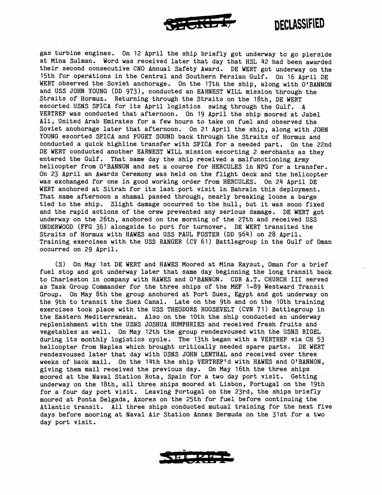

## **DECLASSIFIED**

gas turbine engines. On 12 April the ship briefly got underway to go pierside at Mina Sulman. Word was received later that day that HSL 42 had been awarded their second consecutive CMO Annual Safety Award. DE WERT got underway on the 15th for operations in the Central and Southern Persian Gulf. On 16 April DE WERT observed the Soviet anchorage. On the 17th the ship, along with O'BANNON and USS JOHN YOUNG (DD 973), conducted an EARNEST WILL mission through the Straits of Hormuz. Returning through the Straits on the 18th, DE WERT escorted USNS SPICA for its April logistics swing through the Gulf. A VERTREP was conducted that afternoon. On 19 April the ship moored at Jabel Ali, United Arab Emirates for a few hours to take on fuel and observed the Soviet anchorage later that afternoon. On 21 April the ship, along with JOHN YOUNG escorted SPICA and PUGET SOUND back through the Straits of Hormuz and conducted a quick highline transfer with SPICA for a needed part. On the 22nd DE WERT conducted another EARNEST WILL mission escorting 2 merchants as they entered the Gulf. That same day the ship received a malfunctioning Army helicopter from O'BANNON and set a course for HERCULES in NPG for a transfer. On 23 April an Awards Ceremony was held on the flight deck and the helicopter was exchanged for one in good working order from HERCULES. On 24 April DE WERT anchored at Sitrah for its last port visit in Bahrain this deployment. That same afternoon a shamal passed through, nearly breaking loose a barge tied to the ship. Slight damage occurred to the hull, but it was soon fixed and the rapid actions of the crew prevented any serious damage. DE WERT got underway on the 26th, anchored on the morning of the 27th and received USS UNDERWOOD (FFG 36) alongside to port for turnover. DE WERT transited the Straits of Hormuz with HAWES and USS PAUL FOSTER (DD 964) on 28 April. Training exercises with the USS RANGER (CV 61) Battlegroup in the Gulf of Oman occurred on 29 April.

(S) On May 1st DE WERT and HAWES Moored at Mina Raysut, Oman for a brief fuel stop and got underway later that same day beginning the long transit back to Charleston in company with HAWES and O'BANNON. CDR A.T. CHURCH III served as Task Group Commander for the three ships of the MEF 1-89 Westward Transit Group. On May 8th the group anchored at Port Suez, Egypt and got underway on the 9th to transit the Suez Canal. Late on the 9th and on the 10th training exercises took place with the USS THEODORE ROOSEVELT (CVN 71) Battlegroup in the Eastern Mediterranean. Also on the 10th the ship conducted an underway replenishment with the USNS JOSHUA HUMPHRIES and received fresh fruits and vegetables as well. On May 12th the group rendezvoused with the USNS RIGEL during its monthly logistics cycle. The 13th began with a VERTREP via CH 53 helicopter from Naples which brought critically needed spare parts. DE WERT rendezvoused later that day with USNS JOHN LENTHAL and received over three weeks of back mail. On the 14th the ship VERTREP'd with HAWES and O'BANNON, giving them mail received the previous day. On May 16th the three ships moored at the Naval Station Rota, Spain for a two day port visit. Getting underway on the 18th, all three ships moored at Lisbon, Portugal on the 19th for a four day port visit. Leaving Portugal on the 23rd, the ships briefly moored at Ponta Delgada, Azores on the 25th for fuel before continuing the Atlantic transit. All three ships conducted mutual training for the next five days before mooring at Naval Air Station Annex Bermuda on the 31st for a two day port visit.

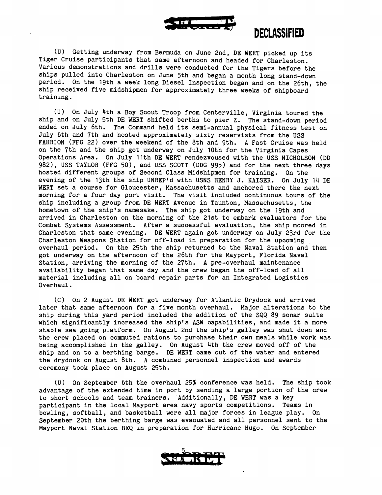

## *SK=a* **DECLASSIFIED**

(U) Getting underway from Bermuda on June 2nd, DE WERT picked up its Tiger Cruise participants that same afternoon and headed for Charleston. Various demonstrations and drills were conducted for the Tigers before the ships pulled into Charleston on June 5th and began a month long stand-down period. On the 19th a week long Diesel Inspection began and on the 26th, the ship received five midshipmen for approximately three weeks of shipboard training.

(u) On July 4th a Boy Scout Troop from Centerville, Virginia toured the ship and on July 5th DE WERT shifted berths to pier Z. The stand-down period ended on July 6th. The Command held its semi-annual physical fitness test on July 6th and 7th and hosted approximately sixty reservists from the USS FAHRION (FFG 22) over the weekend of the 8th and 9th. A Fast Cruise was held on the 7th and the ship got underway on July 10th for the Virginia Capes Operations Area. On July 11th DE WERT rendezvoused with the USS NICHOLSON (DD 982), USS TAYLOR (FFG 50), and USS SCOTT (DDG 995) and for the next three days hosted different groups of Second Class Midshipmen for training. On the evening of the 13th the ship UNREPtd with USNS HENRY J. KAISER. On July 14 DE WERT set a course for Gloucester, Massachusetts and anchored there the next morning for a four day port visit. The visit included continuous tours of the ship including a group from DE WERT Avenue in Taunton, Massachusetts, the hometown of the ship's namesake. The ship got underway on the 19th and arrived in Charleston on the morning of the 21st to embark evaluators for the Combat Systems Assessment. After a successful evaluation, the ship moored in Charleston that same evening. DE WERT again got underway on July 23rd for the Charleston Weapons Station for off-load in preparation for the upcoming overhaul period. On the 25th the ship returned to the Naval Station and then got underway on the afternoon of the 26th for the Mayport, Florida Naval Station, arriving the morning of the 27th. A pre-overhaul maintenance availability began that same day and the crew began the off-load of all material including all on board repair parts for an Integrated Logistics Overhaul.

(C) On 2 August DE WERT got underway for Atlantic Drydock and arrived later that same afternoon for a five month overhaul. Major alterations to the ship during this yard period included the addition of the SQQ 89 sonar suite which significantly increased the ship's ASW capabilities, and made it a more stable sea going platform. On August 2nd the ship's galley was shut down and the crew placed on commuted rations to purchase their own meals while work was being accomplished in the galley. On August 4th the crew moved off of the ship and on to a berthing barge. DE WERT came out of the water and entered the drydock on August 8th. A combined personnel inspection and awards ceremony took place on August 25th.

(U) On September 6th the overhaul 25% conference was held. The ship took advantage of the extended time in port by sending a large portion of the crew to short schools and team trainers. Additionally, DE WERT was a key participant in the local Mayport area navy sports competitions. Teams in bowling, softball, and basketball were all major forces in league play. On September 20th the berthing barge was evacuated and all personnel sent to the Mayport Naval Station BEQ in preparation for Hurricane Hugo. On September